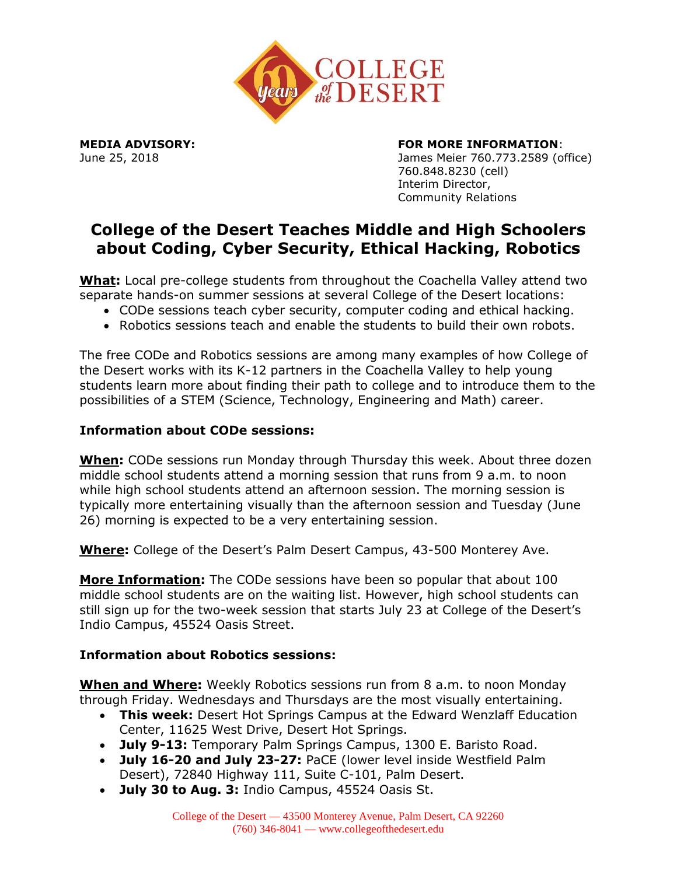

### **MEDIA ADVISORY: FOR MORE INFORMATION**:

June 25, 2018 James Meier 760.773.2589 (office) 760.848.8230 (cell) Interim Director, Community Relations

# **College of the Desert Teaches Middle and High Schoolers about Coding, Cyber Security, Ethical Hacking, Robotics**

**What:** Local pre-college students from throughout the Coachella Valley attend two separate hands-on summer sessions at several College of the Desert locations:

- CODe sessions teach cyber security, computer coding and ethical hacking.
- Robotics sessions teach and enable the students to build their own robots.

The free CODe and Robotics sessions are among many examples of how College of the Desert works with its K-12 partners in the Coachella Valley to help young students learn more about finding their path to college and to introduce them to the possibilities of a STEM (Science, Technology, Engineering and Math) career.

#### **Information about CODe sessions:**

**When:** CODe sessions run Monday through Thursday this week. About three dozen middle school students attend a morning session that runs from 9 a.m. to noon while high school students attend an afternoon session. The morning session is typically more entertaining visually than the afternoon session and Tuesday (June 26) morning is expected to be a very entertaining session.

**Where:** College of the Desert's Palm Desert Campus, 43-500 Monterey Ave.

**More Information:** The CODe sessions have been so popular that about 100 middle school students are on the waiting list. However, high school students can still sign up for the two-week session that starts July 23 at College of the Desert's Indio Campus, 45524 Oasis Street.

## **Information about Robotics sessions:**

**When and Where:** Weekly Robotics sessions run from 8 a.m. to noon Monday through Friday. Wednesdays and Thursdays are the most visually entertaining.

- **This week:** Desert Hot Springs Campus at the Edward Wenzlaff Education Center, 11625 West Drive, Desert Hot Springs.
- **July 9-13:** Temporary Palm Springs Campus, 1300 E. Baristo Road.
- **July 16-20 and July 23-27:** PaCE (lower level inside Westfield Palm Desert), 72840 Highway 111, Suite C-101, Palm Desert.
- **July 30 to Aug. 3:** Indio Campus, 45524 Oasis St.